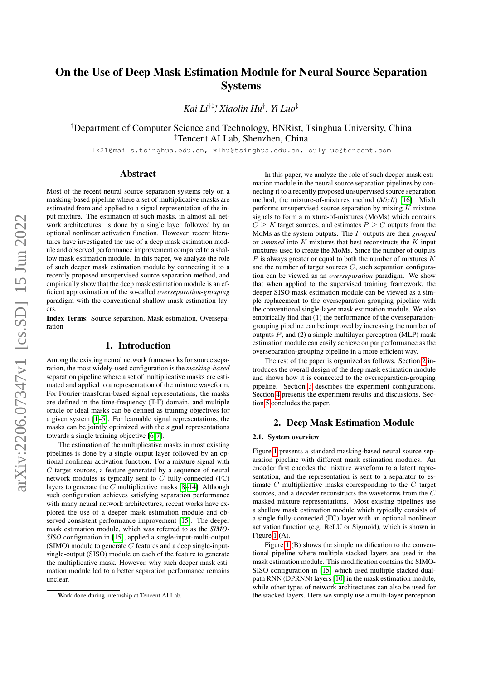# <span id="page-0-2"></span>On the Use of Deep Mask Estimation Module for Neural Source Separation Systems

*Kai Li*†‡∗*, Xiaolin Hu*† *, Yi Luo*‡

†Department of Computer Science and Technology, BNRist, Tsinghua University, China ‡Tencent AI Lab, Shenzhen, China

lk21@mails.tsinghua.edu.cn, xlhu@tsinghua.edu.cn, oulyluo@tencent.com

# Abstract

Most of the recent neural source separation systems rely on a masking-based pipeline where a set of multiplicative masks are estimated from and applied to a signal representation of the input mixture. The estimation of such masks, in almost all network architectures, is done by a single layer followed by an optional nonlinear activation function. However, recent literatures have investigated the use of a deep mask estimation module and observed performance improvement compared to a shallow mask estimation module. In this paper, we analyze the role of such deeper mask estimation module by connecting it to a recently proposed unsupervised source separation method, and empirically show that the deep mask estimation module is an efficient approximation of the so-called *overseparation-grouping* paradigm with the conventional shallow mask estimation layers.

Index Terms: Source separation, Mask estimation, Overseparation

## 1. Introduction

<span id="page-0-1"></span>Among the existing neural network frameworks for source separation, the most widely-used configuration is the *masking-based* separation pipeline where a set of multiplicative masks are estimated and applied to a representation of the mixture waveform. For Fourier-transform-based signal representations, the masks are defined in the time-frequency (T-F) domain, and multiple oracle or ideal masks can be defined as training objectives for a given system [\[1](#page-3-0)[–5\]](#page-3-1). For learnable signal representations, the masks can be jointly optimized with the signal representations towards a single training objective [\[6,](#page-3-2) [7\]](#page-3-3).

The estimation of the multiplicative masks in most existing pipelines is done by a single output layer followed by an optional nonlinear activation function. For a mixture signal with  $C$  target sources, a feature generated by a sequence of neural network modules is typically sent to  $C$  fully-connected (FC) layers to generate the  $C$  multiplicative masks  $[8-14]$  $[8-14]$ . Although such configuration achieves satisfying separation performance with many neural network architectures, recent works have explored the use of a deeper mask estimation module and observed consistent performance improvement [\[15\]](#page-3-6). The deeper mask estimation module, which was referred to as the *SIMO-SISO* configuration in [\[15\]](#page-3-6), applied a single-input-multi-output  $(SIMO)$  module to generate  $C$  features and a deep single-inputsingle-output (SISO) module on each of the feature to generate the multiplicative mask. However, why such deeper mask estimation module led to a better separation performance remains unclear.

In this paper, we analyze the role of such deeper mask estimation module in the neural source separation pipelines by connecting it to a recently proposed unsupervised source separation method, the mixture-of-mixtures method (*MixIt*) [\[16\]](#page-3-7). MixIt performs unsupervised source separation by mixing  $K$  mixture signals to form a mixture-of-mixtures (MoMs) which contains  $C \geq K$  target sources, and estimates  $P \geq C$  outputs from the MoMs as the system outputs. The P outputs are then *grouped* or *summed* into K mixtures that best reconstructs the K input mixtures used to create the MoMs. Since the number of outputs  $P$  is always greater or equal to both the number of mixtures  $K$ and the number of target sources  $C$ , such separation configuration can be viewed as an *overseparation* paradigm. We show that when applied to the supervised training framework, the deeper SISO mask estimation module can be viewed as a simple replacement to the overseparation-grouping pipeline with the conventional single-layer mask estimation module. We also empirically find that (1) the performance of the overseparationgrouping pipeline can be improved by increasing the number of outputs  $P$ , and (2) a simple multilayer perceptron (MLP) mask estimation module can easily achieve on par performance as the overseparation-grouping pipeline in a more efficient way.

The rest of the paper is organized as follows. Section [2](#page-0-0) introduces the overall design of the deep mask estimation module and shows how it is connected to the overseparation-grouping pipeline. Section [3](#page-1-0) describes the experiment configurations. Section [4](#page-2-0) presents the experiment results and discussions. Section [5](#page-3-8) concludes the paper.

# 2. Deep Mask Estimation Module

#### <span id="page-0-0"></span>2.1. System overview

Figure [1](#page-1-1) presents a standard masking-based neural source separation pipeline with different mask estimation modules. An encoder first encodes the mixture waveform to a latent representation, and the representation is sent to a separator to estimate  $C$  multiplicative masks corresponding to the  $C$  target sources, and a decoder reconstructs the waveforms from the C masked mixture representations. Most existing pipelines use a shallow mask estimation module which typically consists of a single fully-connected (FC) layer with an optional nonlinear activation function (e.g. ReLU or Sigmoid), which is shown in Figure [1](#page-1-1) (A).

Figure [1](#page-1-1) (B) shows the simple modification to the conventional pipeline where multiple stacked layers are used in the mask estimation module. This modification contains the SIMO-SISO configuration in [\[15\]](#page-3-6) which used multiple stacked dualpath RNN (DPRNN) layers [\[10\]](#page-3-9) in the mask estimation module, while other types of network architectures can also be used for the stacked layers. Here we simply use a multi-layer perceptron

<sup>∗</sup>Work done during internship at Tencent AI Lab.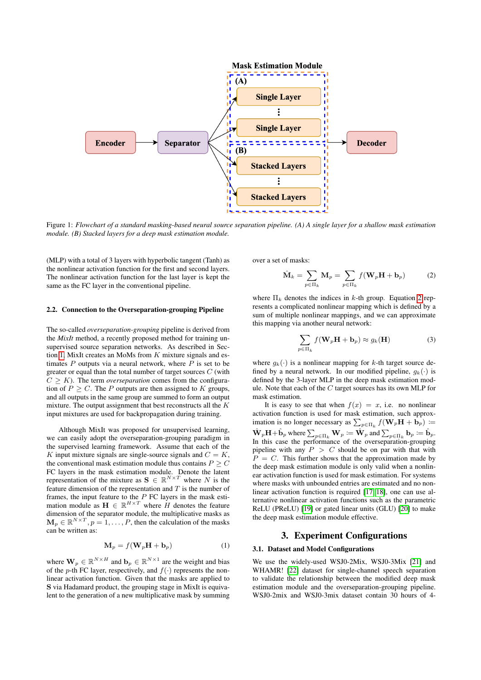<span id="page-1-1"></span>

Figure 1: *Flowchart of a standard masking-based neural source separation pipeline. (A) A single layer for a shallow mask estimation module. (B) Stacked layers for a deep mask estimation module.*

(MLP) with a total of 3 layers with hyperbolic tangent (Tanh) as the nonlinear activation function for the first and second layers. The nonlinear activation function for the last layer is kept the same as the FC layer in the conventional pipeline.

#### 2.2. Connection to the Overseparation-grouping Pipeline

The so-called *overseparation-grouping* pipeline is derived from the *MixIt* method, a recently proposed method for training unsupervised source separation networks. As described in Sec-tion [1,](#page-0-1) MixIt creates an MoMs from  $K$  mixture signals and estimates  $P$  outputs via a neural network, where  $P$  is set to be greater or equal than the total number of target sources  $C$  (with  $C \geq K$ ). The term *overseparation* comes from the configuration of  $P \ge C$ . The P outputs are then assigned to K groups, and all outputs in the same group are summed to form an output mixture. The output assignment that best reconstructs all the  $K$ input mixtures are used for backpropagation during training.

Although MixIt was proposed for unsupervised learning, we can easily adopt the overseparation-grouping paradigm in the supervised learning framework. Assume that each of the K input mixture signals are single-source signals and  $C = K$ , the conventional mask estimation module thus contains  $P \geq C$ FC layers in the mask estimation module. Denote the latent representation of the mixture as  $S \in \mathbb{R}^{N \times T}$  where N is the feature dimension of the representation and  $T$  is the number of frames, the input feature to the  $P$  FC layers in the mask estimation module as  $\mathbf{H} \in \mathbb{R}^{H \times T}$  where H denotes the feature dimension of the separator module, the multiplicative masks as  $\mathbf{M}_p \in \mathbb{R}^{N \times T}$ ,  $p = 1, \dots, P$ , then the calculation of the masks can be written as:

$$
\mathbf{M}_p = f(\mathbf{W}_p \mathbf{H} + \mathbf{b}_p)
$$
 (1)

where  $\mathbf{W}_p \in \mathbb{R}^{N \times H}$  and  $\mathbf{b}_p \in \mathbb{R}^{N \times 1}$  are the weight and bias of the p-th FC layer, respectively, and  $f(\cdot)$  represents the nonlinear activation function. Given that the masks are applied to S via Hadamard product, the grouping stage in MixIt is equivalent to the generation of a new multiplicative mask by summing over a set of masks:

<span id="page-1-2"></span>
$$
\hat{\mathbf{M}}_k = \sum_{p \in \Pi_k} \mathbf{M}_p = \sum_{p \in \Pi_k} f(\mathbf{W}_p \mathbf{H} + \mathbf{b}_p)
$$
(2)

where  $\Pi_k$  denotes the indices in k-th group. Equation [2](#page-1-2) represents a complicated nonlinear mapping which is defined by a sum of multiple nonlinear mappings, and we can approximate this mapping via another neural network:

$$
\sum_{p \in \Pi_k} f(\mathbf{W}_p \mathbf{H} + \mathbf{b}_p) \approx g_k(\mathbf{H})
$$
 (3)

where  $q_k(\cdot)$  is a nonlinear mapping for k-th target source defined by a neural network. In our modified pipeline,  $q_k(\cdot)$  is defined by the 3-layer MLP in the deep mask estimation module. Note that each of the C target sources has its own MLP for mask estimation.

It is easy to see that when  $f(x) = x$ , i.e. no nonlinear activation function is used for mask estimation, such approximation is no longer necessary as  $\sum_{p \in \Pi_k} f(\mathbf{W}_p \mathbf{H} + \mathbf{b}_p) \coloneqq$  $\hat{\mathbf{W}}_p \mathbf{H} + \hat{\mathbf{b}}_p$  where  $\sum_{p \in \Pi_k} \mathbf{W}_p := \hat{\mathbf{W}}_p$  and  $\sum_{p \in \Pi_k} \mathbf{b}_p := \hat{\mathbf{b}}_p$ . In this case the performance of the overseparation-grouping pipeline with any  $P > C$  should be on par with that with  $P = C$ . This further shows that the approximation made by the deep mask estimation module is only valid when a nonlinear activation function is used for mask estimation. For systems where masks with unbounded entries are estimated and no non-linear activation function is required [\[17,](#page-4-0) [18\]](#page-4-1), one can use alternative nonlinear activation functions such as the parametric ReLU (PReLU) [\[19\]](#page-4-2) or gated linear units (GLU) [\[20\]](#page-4-3) to make the deep mask estimation module effective.

## 3. Experiment Configurations

#### <span id="page-1-0"></span>3.1. Dataset and Model Configurations

We use the widely-used WSJ0-2Mix, WSJ0-3Mix [\[21\]](#page-4-4) and WHAMR! [\[22\]](#page-4-5) dataset for single-channel speech separation to validate the relationship between the modified deep mask estimation module and the overseparation-grouping pipeline. WSJ0-2mix and WSJ0-3mix dataset contain 30 hours of 4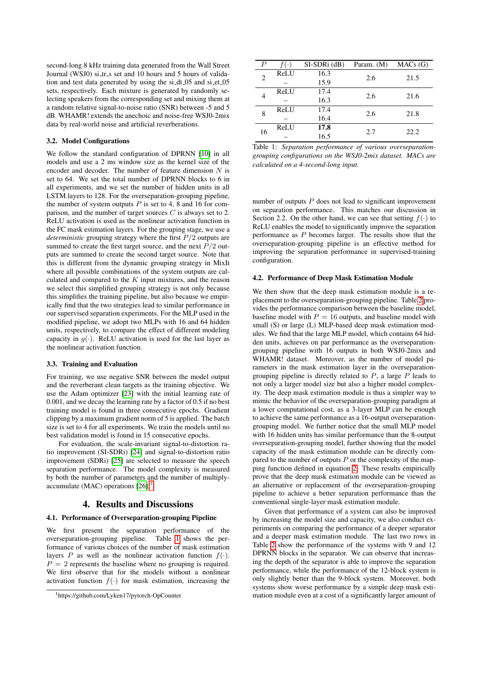second-long 8 kHz training data generated from the Wall Street Journal (WSJ0) si\_tr\_s set and 10 hours and 5 hours of validation and test data generated by using the si\_dt\_05 and si\_et\_05 sets, respectively. Each mixture is generated by randomly selecting speakers from the corresponding set and mixing them at a random relative signal-to-noise ratio (SNR) between -5 and 5 dB. WHAMR! extends the anechoic and noise-free WSJ0-2mix data by real-world noise and artificial reverberations.

#### 3.2. Model Configurations

We follow the standard configuration of DPRNN [\[10\]](#page-3-9) in all models and use a 2 ms window size as the kernel size of the encoder and decoder. The number of feature dimension  $N$  is set to 64. We set the total number of DPRNN blocks to 6 in all experiments, and we set the number of hidden units in all LSTM layers to 128. For the overseparation-grouping pipeline, the number of system outputs  $P$  is set to 4, 8 and 16 for comparison, and the number of target sources  $C$  is always set to 2. ReLU activation is used as the nonlinear activation function in the FC mask estimation layers. For the grouping stage, we use a *deterministic* grouping strategy where the first P/2 outputs are summed to create the first target source, and the next  $P/2$  outputs are summed to create the second target source. Note that this is different from the dynamic grouping strategy in MixIt where all possible combinations of the system outputs are calculated and compared to the  $K$  input mixtures, and the reason we select this simplified grouping strategy is not only because this simplifies the training pipeline, but also because we empirically find that the two strategies lead to similar performance in our supervised separation experiments. For the MLP used in the modified pipeline, we adopt two MLPs with 16 and 64 hidden units, respectively, to compare the effect of different modeling capacity in  $q(.)$ . ReLU activation is used for the last layer as the nonlinear activation function.

#### 3.3. Training and Evaluation

For training, we use negative SNR between the model output and the reverberant clean targets as the training objective. We use the Adam optimizer [\[23\]](#page-4-6) with the initial learning rate of 0.001, and we decay the learning rate by a factor of 0.5 if no best training model is found in three consecutive epochs. Gradient clipping by a maximum gradient norm of 5 is applied. The batch size is set to 4 for all experiments. We train the models until no best validation model is found in 15 consecutive epochs.

For evaluation, the scale-invariant signal-to-distortion ratio improvement (SI-SDRi) [\[24\]](#page-4-7) and signal-to-distortion ratio improvement (SDRi) [\[25\]](#page-4-8) are selected to measure the speech separation performance. The model complexity is measured by both the number of parameters and the number of multiplyaccumulate (MAC) operations  $[26]$ <sup>[1](#page-0-2)</sup>.

### 4. Results and Discussions

#### <span id="page-2-0"></span>4.1. Performance of Overseparation-grouping Pipeline

We first present the separation performance of the overseparation-grouping pipeline. Table [1](#page-2-1) shows the performance of various choices of the number of mask estimation layers P as well as the nonlinear activation function  $f(.)$ .  $P = 2$  represents the baseline where no grouping is required. We first observe that for the models without a nonlinear activation function  $f(.)$  for mask estimation, increasing the

<span id="page-2-1"></span>

| $\boldsymbol{P}$ |      | SI-SDRi (dB) | Param. (M) | MACs(G) |  |
|------------------|------|--------------|------------|---------|--|
| $\overline{c}$   | ReLU | 16.3         | 2.6        | 21.5    |  |
|                  |      | 15.9         |            |         |  |
|                  | ReLU | 17.4         | 2.6        | 21.6    |  |
|                  |      | 16.3         |            |         |  |
| 8                | ReLU | 17.4         |            | 21.8    |  |
|                  |      | 16.4         | 2.6        |         |  |
| 16               | ReLU | 17.8         | 2.7        | 22.2    |  |
|                  |      | 16.5         |            |         |  |

Table 1: *Separation performance of various overseparationgrouping configurations on the WSJ0-2mix dataset. MACs are calculated on a 4-second-long input.*

number of outputs  $P$  does not lead to significant improvement on separation performance. This matches our discussion in Section 2.2. On the other hand, we can see that setting  $f(\cdot)$  to ReLU enables the model to significantly improve the separation performance as P becomes larger. The results show that the overseparation-grouping pipeline is an effective method for improving the separation performance in supervised-training configuration.

#### 4.2. Performance of Deep Mask Estimation Module

We then show that the deep mask estimation module is a replacement to the overseparation-grouping pipeline. Table [2](#page-3-10) provides the performance comparison between the baseline model, baseline model with  $P = 16$  outputs, and baseline model with small (S) or large (L) MLP-based deep mask estimation modules. We find that the large MLP model, which contains 64 hidden units, achieves on par performance as the overseparationgrouping pipeline with 16 outputs in both WSJ0-2mix and WHAMR! dataset. Moreover, as the number of model parameters in the mask estimation layer in the overseparationgrouping pipeline is directly related to  $P$ , a large  $P$  leads to not only a larger model size but also a higher model complexity. The deep mask estimation module is thus a simpler way to mimic the behavior of the overseparation-grouping paradigm at a lower computational cost, as a 3-layer MLP can be enough to achieve the same performance as a 16-output overseparationgrouping model. We further notice that the small MLP model with 16 hidden units has similar performance than the 8-output overseparation-grouping model, further showing that the model capacity of the mask estimation module can be directly compared to the number of outputs  $P$  or the complexity of the mapping function defined in equation [2.](#page-1-2) These results empirically prove that the deep mask estimation module can be viewed as an alternative or replacement of the overseparation-grouping pipeline to achieve a better separation performance than the conventional single-layer mask estimation module.

Given that performance of a system can also be improved by increasing the model size and capacity, we also conduct experiments on comparing the performance of a deeper separator and a deeper mask estimation module. The last two rows in Table [2](#page-3-10) show the performance of the systems with 9 and 12 DPRNN blocks in the separator. We can observe that increasing the depth of the separator is able to improve the separation performance, while the performance of the 12-block system is only slightly better than the 9-block system. Moreover, both systems show worse performance by a simple deep mask estimation module even at a cost of a significantly larger amount of

<sup>1</sup>https://github.com/Lyken17/pytorch-OpCounter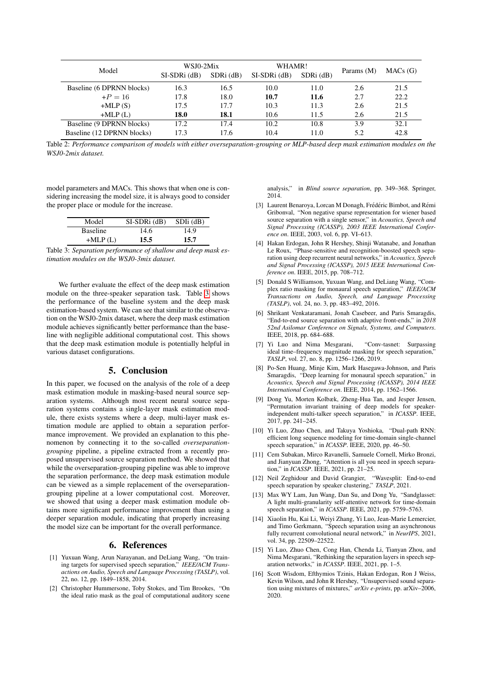<span id="page-3-10"></span>

| Model                      | WSJ0-2Mix<br>$SI-SDRi$ (dB) | $SDRi$ (dB) | WHAMR!<br>$SI-SDRi$ (dB) | $SDRi$ ( $dB$ ) | Params (M) | MACs(G) |
|----------------------------|-----------------------------|-------------|--------------------------|-----------------|------------|---------|
| Baseline (6 DPRNN blocks)  | 16.3                        | 16.5        | 10.0                     | 11.0            | 2.6        | 21.5    |
| $+P = 16$                  | 17.8                        | 18.0        | 10.7                     | 11.6            | 2.7        | 22.2    |
| $+MLP(S)$                  | 17.5                        | 17.7        | 10.3                     | 11.3            | 2.6        | 21.5    |
| $+MLP(L)$                  | 18.0                        | 18.1        | 10.6                     | 11.5            | 2.6        | 21.5    |
| Baseline (9 DPRNN blocks)  | 17.2                        | 17.4        | 10.2                     | 10.8            | 3.9        | 32.1    |
| Baseline (12 DPRNN blocks) | 17.3                        | 17.6        | 10.4                     | 11.0            | 5.2        | 42.8    |

Table 2: *Performance comparison of models with either overseparation-grouping or MLP-based deep mask estimation modules on the WSJ0-2mix dataset.*

model parameters and MACs. This shows that when one is considering increasing the model size, it is always good to consider the proper place or module for the increase.

<span id="page-3-11"></span>

| Model           | $SI-SDRi$ (dB) | $SDIi$ (dB) |
|-----------------|----------------|-------------|
| <b>Baseline</b> | 14.6           | 14.9        |
| $+MLP(L)$       | 15.5           | 15.7        |

Table 3: *Separation performance of shallow and deep mask estimation modules on the WSJ0-3mix dataset.*

We further evaluate the effect of the deep mask estimation module on the three-speaker separation task. Table [3](#page-3-11) shows the performance of the baseline system and the deep mask estimation-based system. We can see that similar to the observation on the WSJ0-2mix dataset, where the deep mask estimation module achieves significantly better performance than the baseline with negligible additional computational cost. This shows that the deep mask estimation module is potentially helpful in various dataset configurations.

# 5. Conclusion

<span id="page-3-8"></span>In this paper, we focused on the analysis of the role of a deep mask estimation module in masking-based neural source separation systems. Although most recent neural source separation systems contains a single-layer mask estimation module, there exists systems where a deep, multi-layer mask estimation module are applied to obtain a separation performance improvement. We provided an explanation to this phenomenon by connecting it to the so-called *overseparationgrouping* pipeline, a pipeline extracted from a recently proposed unsupervised source separation method. We showed that while the overseparation-grouping pipeline was able to improve the separation performance, the deep mask estimation module can be viewed as a simple replacement of the overseparationgrouping pipeline at a lower computational cost. Moreover, we showed that using a deeper mask estimation module obtains more significant performance improvement than using a deeper separation module, indicating that properly increasing the model size can be important for the overall performance.

#### 6. References

- <span id="page-3-0"></span>[1] Yuxuan Wang, Arun Narayanan, and DeLiang Wang, "On training targets for supervised speech separation," *IEEE/ACM Transactions on Audio, Speech and Language Processing (TASLP)*, vol. 22, no. 12, pp. 1849–1858, 2014.
- [2] Christopher Hummersone, Toby Stokes, and Tim Brookes, "On the ideal ratio mask as the goal of computational auditory scene

analysis," in *Blind source separation*, pp. 349–368. Springer, 2014.

- [3] Laurent Benaroya, Lorcan M Donagh, Frédéric Bimbot, and Rémi Gribonval, "Non negative sparse representation for wiener based source separation with a single sensor," in *Acoustics, Speech and Signal Processing (ICASSP), 2003 IEEE International Conference on*. IEEE, 2003, vol. 6, pp. VI–613.
- [4] Hakan Erdogan, John R Hershey, Shinji Watanabe, and Jonathan Le Roux, "Phase-sensitive and recognition-boosted speech separation using deep recurrent neural networks," in *Acoustics, Speech and Signal Processing (ICASSP), 2015 IEEE International Conference on*. IEEE, 2015, pp. 708–712.
- <span id="page-3-1"></span>[5] Donald S Williamson, Yuxuan Wang, and DeLiang Wang, "Complex ratio masking for monaural speech separation," *IEEE/ACM Transactions on Audio, Speech, and Language Processing (TASLP)*, vol. 24, no. 3, pp. 483–492, 2016.
- <span id="page-3-2"></span>[6] Shrikant Venkataramani, Jonah Casebeer, and Paris Smaragdis, "End-to-end source separation with adaptive front-ends," in *2018 52nd Asilomar Conference on Signals, Systems, and Computers*. IEEE, 2018, pp. 684–688.
- <span id="page-3-3"></span>[7] Yi Luo and Nima Mesgarani, "Conv-tasnet: Surpassing ideal time–frequency magnitude masking for speech separation," *TASLP*, vol. 27, no. 8, pp. 1256–1266, 2019.
- <span id="page-3-4"></span>[8] Po-Sen Huang, Minje Kim, Mark Hasegawa-Johnson, and Paris Smaragdis, "Deep learning for monaural speech separation," in *Acoustics, Speech and Signal Processing (ICASSP), 2014 IEEE International Conference on*. IEEE, 2014, pp. 1562–1566.
- [9] Dong Yu, Morten Kolbæk, Zheng-Hua Tan, and Jesper Jensen, "Permutation invariant training of deep models for speakerindependent multi-talker speech separation," in *ICASSP*. IEEE, 2017, pp. 241–245.
- <span id="page-3-9"></span>[10] Yi Luo, Zhuo Chen, and Takuya Yoshioka, "Dual-path RNN: efficient long sequence modeling for time-domain single-channel speech separation," in *ICASSP*. IEEE, 2020, pp. 46–50.
- [11] Cem Subakan, Mirco Ravanelli, Samuele Cornell, Mirko Bronzi, and Jianyuan Zhong, "Attention is all you need in speech separation," in *ICASSP*. IEEE, 2021, pp. 21–25.
- [12] Neil Zeghidour and David Grangier, "Wavesplit: End-to-end speech separation by speaker clustering," *TASLP*, 2021.
- [13] Max WY Lam, Jun Wang, Dan Su, and Dong Yu, "Sandglasset: A light multi-granularity self-attentive network for time-domain speech separation," in *ICASSP*. IEEE, 2021, pp. 5759–5763.
- <span id="page-3-5"></span>[14] Xiaolin Hu, Kai Li, Weiyi Zhang, Yi Luo, Jean-Marie Lemercier, and Timo Gerkmann, "Speech separation using an asynchronous fully recurrent convolutional neural network," in *NeurIPS*, 2021, vol. 34, pp. 22509–22522.
- <span id="page-3-6"></span>[15] Yi Luo, Zhuo Chen, Cong Han, Chenda Li, Tianyan Zhou, and Nima Mesgarani, "Rethinking the separation layers in speech separation networks," in *ICASSP*. IEEE, 2021, pp. 1–5.
- <span id="page-3-7"></span>[16] Scott Wisdom, Efthymios Tzinis, Hakan Erdogan, Ron J Weiss, Kevin Wilson, and John R Hershey, "Unsupervised sound separation using mixtures of mixtures," *arXiv e-prints*, pp. arXiv–2006, 2020.